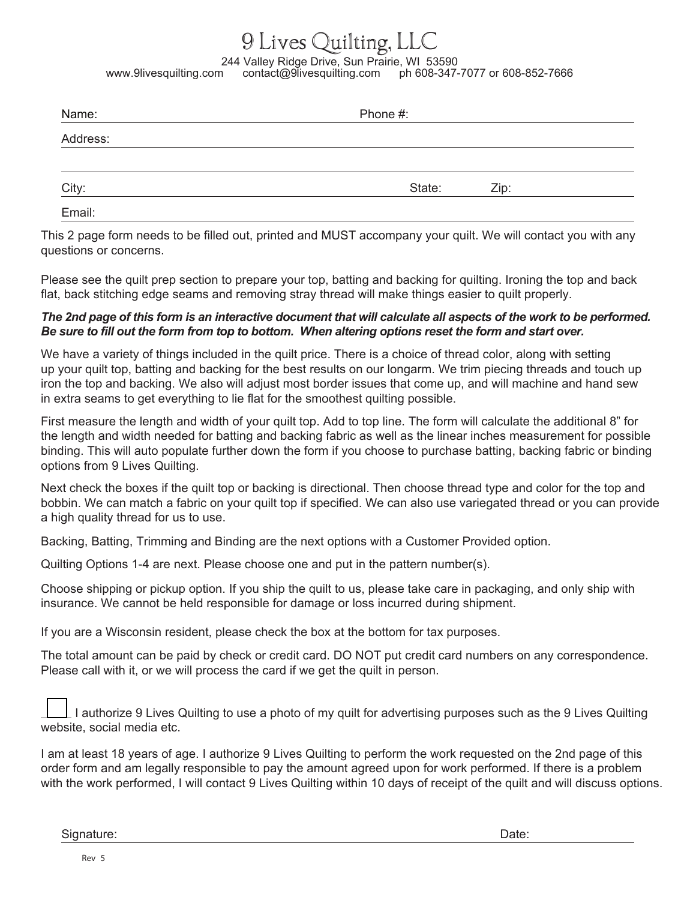## 9 Lives Quilting, LLC

244 Valley Ridge Drive, Sun Prairie, WI 53590<br>247-www.9livesquilting.com contact@9livesquilting.com ph 608-347 ph 608-347-7077 or 608-852-7666

| Name:    | Phone #: |      |  |
|----------|----------|------|--|
| Address: |          |      |  |
| City:    | State:   | Zip: |  |
| Email:   |          |      |  |

This 2 page form needs to be filled out, printed and MUST accompany your quilt. We will contact you with any questions or concerns.

Please see the quilt prep section to prepare your top, batting and backing for quilting. Ironing the top and back flat, back stitching edge seams and removing stray thread will make things easier to quilt properly.

## *The 2nd page of this form is an interactive document that will calculate all aspects of the work to be performed. Be sure to fill out the form from top to bottom. When altering options reset the form and start over.*

We have a variety of things included in the quilt price. There is a choice of thread color, along with setting up your quilt top, batting and backing for the best results on our longarm. We trim piecing threads and touch up iron the top and backing. We also will adjust most border issues that come up, and will machine and hand sew in extra seams to get everything to lie flat for the smoothest quilting possible.

First measure the length and width of your quilt top. Add to top line. The form will calculate the additional 8" for the length and width needed for batting and backing fabric as well as the linear inches measurement for possible binding. This will auto populate further down the form if you choose to purchase batting, backing fabric or binding options from 9 Lives Quilting.

Next check the boxes if the quilt top or backing is directional. Then choose thread type and color for the top and bobbin. We can match a fabric on your quilt top if specified. We can also use variegated thread or you can provide a high quality thread for us to use.

Backing, Batting, Trimming and Binding are the next options with a Customer Provided option.

Quilting Options 1-4 are next. Please choose one and put in the pattern number(s).

Choose shipping or pickup option. If you ship the quilt to us, please take care in packaging, and only ship with insurance. We cannot be held responsible for damage or loss incurred during shipment.

If you are a Wisconsin resident, please check the box at the bottom for tax purposes.

The total amount can be paid by check or credit card. DO NOT put credit card numbers on any correspondence. Please call with it, or we will process the card if we get the quilt in person.

 I authorize 9 Lives Quilting to use a photo of my quilt for advertising purposes such as the 9 Lives Quilting website, social media etc.

I am at least 18 years of age. I authorize 9 Lives Quilting to perform the work requested on the 2nd page of this order form and am legally responsible to pay the amount agreed upon for work performed. If there is a problem with the work performed, I will contact 9 Lives Quilting within 10 days of receipt of the quilt and will discuss options.

Signature: Date: Development of the state of the state of the state of the state of the Date: